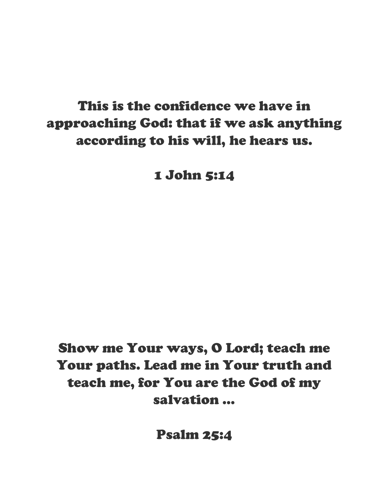## This is the confidence we have in approaching God: that if we ask anything according to his will, he hears us.

1 John 5:14

Show me Your ways, O Lord; teach me Your paths. Lead me in Your truth and teach me, for You are the God of my salvation …

Psalm 25:4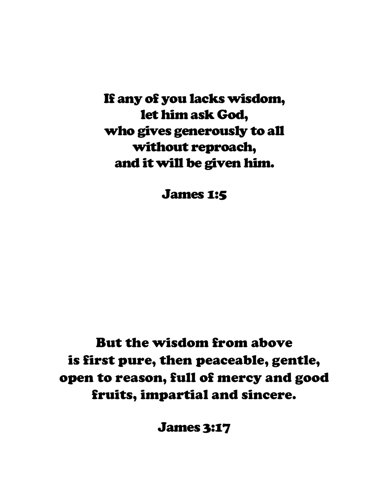If any of you lacks wisdom, let him ask God, who gives generously to all without reproach, and it will be given him.

James 1:5

# But the wisdom from above is first pure, then peaceable, gentle, open to reason, full of mercy and good fruits, impartial and sincere.

James 3:17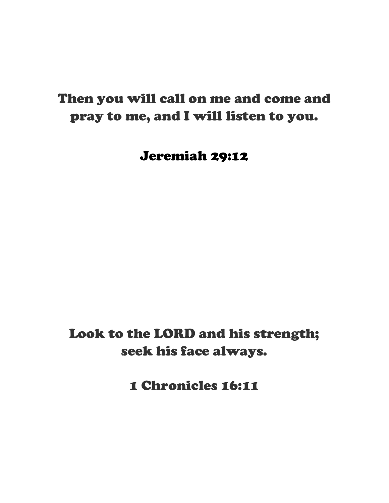#### Then you will call on me and come and pray to me, and I will listen to you.

Jeremiah 29:12

Look to the LORD and his strength; seek his face always.

1 Chronicles 16:11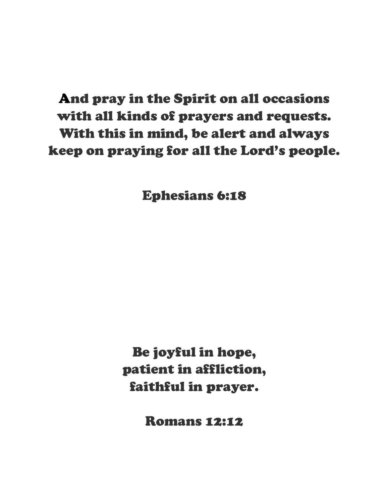# And pray in the Spirit on all occasions with all kinds of prayers and requests. With this in mind, be alert and always keep on praying for all the Lord's people.

Ephesians 6:18

Be joyful in hope, patient in affliction, faithful in prayer.

Romans 12:12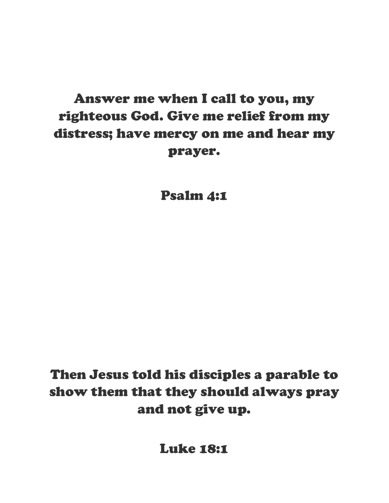# Answer me when I call to you, my righteous God. Give me relief from my distress; have mercy on me and hear my prayer.

Psalm 4:1

Then Jesus told his disciples a parable to show them that they should always pray and not give up.

Luke 18:1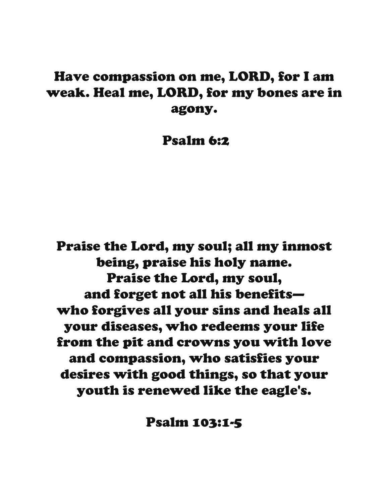#### Have compassion on me, LORD, for I am weak. Heal me, LORD, for my bones are in agony.

Psalm 6:2

Praise the Lord, my soul; all my inmost being, praise his holy name. Praise the Lord, my soul, and forget not all his benefits who forgives all your sins and heals all your diseases, who redeems your life from the pit and crowns you with love and compassion, who satisfies your desires with good things, so that your youth is renewed like the eagle's.

Psalm 103:1-5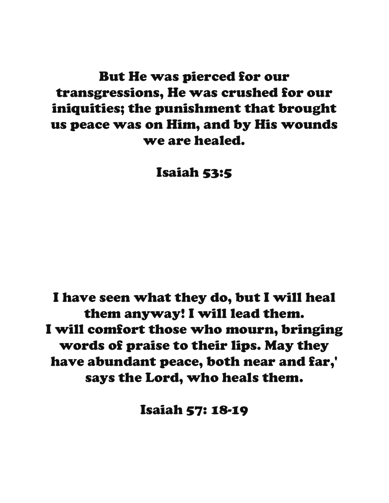#### But He was pierced for our transgressions, He was crushed for our iniquities; the punishment that brought us peace was on Him, and by His wounds we are healed.

Isaiah 53:5

I have seen what they do, but I will heal them anyway! I will lead them. I will comfort those who mourn, bringing words of praise to their lips. May they have abundant peace, both near and far,' says the Lord, who heals them.

Isaiah 57: 18-19